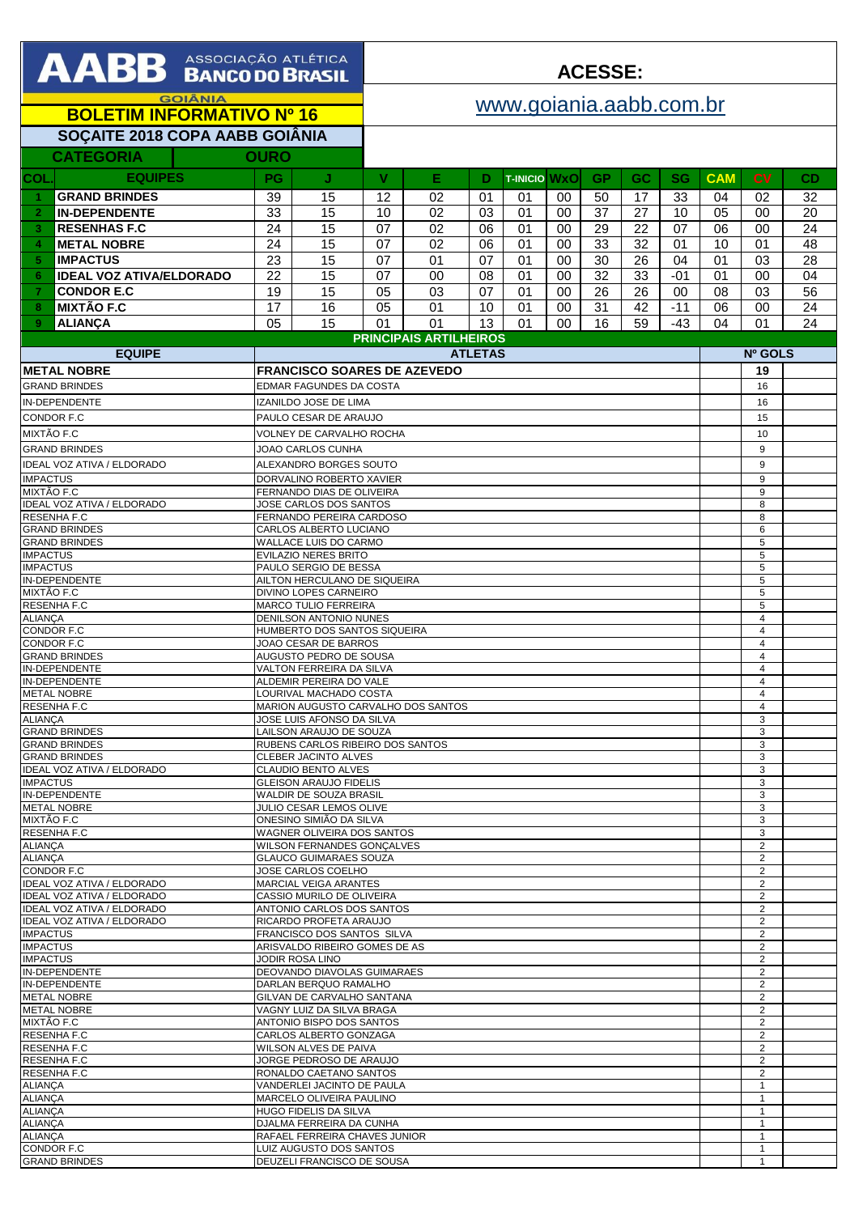|                                                    | <b>AABB</b> ASSOCIAÇÃO ATLETICA |             |                         |    |    |    |                 |                | <b>ACESSE:</b> |            |           |            |                |           |
|----------------------------------------------------|---------------------------------|-------------|-------------------------|----|----|----|-----------------|----------------|----------------|------------|-----------|------------|----------------|-----------|
| <b>GOIÂNIA</b><br><b>BOLETIM INFORMATIVO Nº 16</b> |                                 |             | www.goiania.aabb.com.br |    |    |    |                 |                |                |            |           |            |                |           |
| SOÇAITE 2018 COPA AABB GOIÂNIA                     |                                 |             |                         |    |    |    |                 |                |                |            |           |            |                |           |
|                                                    | <b>CATEGORIA</b>                | <b>OURO</b> |                         |    |    |    |                 |                |                |            |           |            |                |           |
| <b>COL</b>                                         | <b>EQUIPES</b>                  | <b>PG</b>   | J                       | v  | Е  | D  | <b>T-INICIO</b> | WxOl           | <b>GP</b>      | GC.        | <b>SG</b> | <b>CAM</b> | <b>CV</b>      | <b>CD</b> |
|                                                    | <b>GRAND BRINDES</b>            | 39          | 15                      | 12 | 02 | 01 | 01              | 00             | 50             | 17         | 33        | 04         | 02             | 32        |
|                                                    | <b>IN-DEPENDENTE</b>            | 33          | 15                      | 10 | 02 | 03 | 01              | 00             | 37             | 27         | 10        | 05         | $00\,$         | 20        |
|                                                    | <b>RESENHAS F.C</b>             | 24          | 15                      | 07 | 02 | 06 | 01              | 00             | 29             | 22         | 07        | 06         | 0 <sup>0</sup> | 24        |
|                                                    | <b>METAL NOBRE</b>              | 24          | 15                      | 07 | 02 | 06 | 01              | 00             | 33             | 32         | 01        | 10         | 01             | 48        |
|                                                    | <b>IMPACTUS</b>                 | 23          | 15                      | 07 | 01 | 07 | 01              | 00             | 30             | 26         | 04        | 01         | 03             | 28        |
|                                                    | <b>IDEAL VOZ ATIVA/ELDORADO</b> | 22          | 15                      | 07 | 00 | 08 | 01              | 0 <sup>0</sup> | 32             | 33         | $-01$     | 01         | $00 \,$        | 04        |
|                                                    | <b>CONDOR E.C</b>               | 19          | 15                      | 05 | 03 | 07 | 01              | 00             | 26             | 26         | 00        | 08         | 03             | 56        |
|                                                    | <b>MIXTÃO F.C</b>               | 17          | 16                      | 05 | 01 | 10 | 01              | 00             | 31             | 42         | $-11$     | 06         | $00\,$         | 24        |
| 9.                                                 | <b>ALIANCA</b>                  | 05          | 15                      | 01 | 01 | 13 | 01              | $00\,$         | 16             | 59         | -43       | 04         | 01             | 24        |
|                                                    | <b>PRINCIPAIS ARTILHEIROS</b>   |             |                         |    |    |    |                 |                |                |            |           |            |                |           |
| <b>EOUIDE</b>                                      |                                 |             | <b>ATI ETAS</b>         |    |    |    |                 |                |                | $N0$ COI S |           |            |                |           |

| <b>EQUIPE</b>                     | <b>ATLETAS</b>                                     | Nº GOLS        |  |  |  |
|-----------------------------------|----------------------------------------------------|----------------|--|--|--|
| <b>METAL NOBRE</b>                | <b>FRANCISCO SOARES DE AZEVEDO</b>                 | 19             |  |  |  |
| <b>GRAND BRINDES</b>              | EDMAR FAGUNDES DA COSTA                            | 16             |  |  |  |
| IN-DEPENDENTE                     |                                                    | 16             |  |  |  |
|                                   | IZANILDO JOSE DE LIMA                              |                |  |  |  |
| CONDOR F.C                        | PAULO CESAR DE ARAUJO                              | 15             |  |  |  |
| MIXTÃO F.C                        | <b>VOLNEY DE CARVALHO ROCHA</b>                    | 10             |  |  |  |
| <b>GRAND BRINDES</b>              | JOAO CARLOS CUNHA                                  | 9              |  |  |  |
| IDEAL VOZ ATIVA / ELDORADO        | ALEXANDRO BORGES SOUTO                             | 9              |  |  |  |
| <b>IMPACTUS</b>                   | DORVALINO ROBERTO XAVIER                           | 9              |  |  |  |
| MIXTÃO F.C                        | FERNANDO DIAS DE OLIVEIRA                          | 9              |  |  |  |
| IDEAL VOZ ATIVA / ELDORADO        | JOSE CARLOS DOS SANTOS                             | 8              |  |  |  |
| <b>RESENHA F.C</b>                | FERNANDO PEREIRA CARDOSO                           | 8              |  |  |  |
| <b>GRAND BRINDES</b>              | CARLOS ALBERTO LUCIANO                             | 6              |  |  |  |
| <b>GRAND BRINDES</b>              | WALLACE LUIS DO CARMO                              | 5              |  |  |  |
| <b>IMPACTUS</b>                   | EVILAZIO NERES BRITO                               | 5              |  |  |  |
| <b>IMPACTUS</b>                   | PAULO SERGIO DE BESSA                              | 5              |  |  |  |
| IN-DEPENDENTE                     | AILTON HERCULANO DE SIQUEIRA                       | 5              |  |  |  |
| MIXTÃO F.C                        | DIVINO LOPES CARNEIRO                              | 5              |  |  |  |
| <b>RESENHA F.C</b>                | <b>MARCO TULIO FERREIRA</b>                        | 5              |  |  |  |
| <b>ALIANÇA</b>                    | DENILSON ANTONIO NUNES                             | $\overline{4}$ |  |  |  |
| CONDOR F.C                        | HUMBERTO DOS SANTOS SIQUEIRA                       | $\overline{4}$ |  |  |  |
| <b>CONDOR F.C</b>                 | JOAO CESAR DE BARROS                               | $\overline{4}$ |  |  |  |
| <b>GRAND BRINDES</b>              | AUGUSTO PEDRO DE SOUSA                             | $\overline{4}$ |  |  |  |
| IN-DEPENDENTE                     | VALTON FERREIRA DA SILVA                           | $\overline{4}$ |  |  |  |
| <b>IN-DEPENDENTE</b>              | ALDEMIR PEREIRA DO VALE                            | $\overline{4}$ |  |  |  |
| <b>METAL NOBRE</b>                | LOURIVAL MACHADO COSTA                             | $\overline{4}$ |  |  |  |
| RESENHA F.C                       | MARION AUGUSTO CARVALHO DOS SANTOS                 | 4              |  |  |  |
| <b>ALIANCA</b>                    | JOSE LUIS AFONSO DA SILVA                          | 3              |  |  |  |
| <b>GRAND BRINDES</b>              | LAILSON ARAUJO DE SOUZA                            | 3              |  |  |  |
| <b>GRAND BRINDES</b>              | RUBENS CARLOS RIBEIRO DOS SANTOS                   | 3              |  |  |  |
| <b>GRAND BRINDES</b>              | CLEBER JACINTO ALVES                               | 3              |  |  |  |
| IDEAL VOZ ATIVA / ELDORADO        | CLAUDIO BENTO ALVES                                | 3              |  |  |  |
| <b>IMPACTUS</b>                   | <b>GLEISON ARAUJO FIDELIS</b>                      | 3              |  |  |  |
| IN-DEPENDENTE                     | WALDIR DE SOUZA BRASIL                             | 3<br>3         |  |  |  |
| <b>METAL NOBRE</b><br>MIXTÃO F.C  | JULIO CESAR LEMOS OLIVE<br>ONESINO SIMIÃO DA SILVA | 3              |  |  |  |
| <b>RESENHA F.C</b>                | WAGNER OLIVEIRA DOS SANTOS                         | 3              |  |  |  |
| <b>ALIANÇA</b>                    | <b>WILSON FERNANDES GONCALVES</b>                  | $\overline{2}$ |  |  |  |
| <b>ALIANCA</b>                    | <b>GLAUCO GUIMARAES SOUZA</b>                      | $\overline{2}$ |  |  |  |
| CONDOR F.C                        | JOSE CARLOS COELHO                                 | $\overline{c}$ |  |  |  |
| <b>IDEAL VOZ ATIVA / ELDORADO</b> | <b>MARCIAL VEIGA ARANTES</b>                       | $\overline{2}$ |  |  |  |
| <b>IDEAL VOZ ATIVA / ELDORADO</b> | CASSIO MURILO DE OLIVEIRA                          | $\overline{c}$ |  |  |  |
| IDEAL VOZ ATIVA / ELDORADO        | ANTONIO CARLOS DOS SANTOS                          | $\overline{c}$ |  |  |  |
| IDEAL VOZ ATIVA / ELDORADO        | RICARDO PROFETA ARAUJO                             | 2              |  |  |  |
| <b>IMPACTUS</b>                   | FRANCISCO DOS SANTOS SILVA                         | $\overline{c}$ |  |  |  |
| <b>IMPACTUS</b>                   | ARISVALDO RIBEIRO GOMES DE AS                      | 2              |  |  |  |
| <b>IMPACTUS</b>                   | JODIR ROSA LINO                                    | $\overline{c}$ |  |  |  |
| IN-DEPENDENTE                     | DEOVANDO DIAVOLAS GUIMARAES                        | $\overline{c}$ |  |  |  |
| IN-DEPENDENTE                     | DARLAN BEROUO RAMALHO                              | 2              |  |  |  |
| <b>METAL NOBRE</b>                | GILVAN DE CARVALHO SANTANA                         | $\overline{2}$ |  |  |  |
| <b>METAL NOBRE</b>                | VAGNY LUIZ DA SILVA BRAGA                          | 2              |  |  |  |
| MIXTÃO F.C                        | ANTONIO BISPO DOS SANTOS                           | 2              |  |  |  |
| <b>RESENHA F.C</b>                | CARLOS ALBERTO GONZAGA                             | $\overline{c}$ |  |  |  |
| RESENHA F.C                       | WILSON ALVES DE PAIVA                              | $\overline{2}$ |  |  |  |
| <b>RESENHA F.C</b>                | JORGE PEDROSO DE ARAUJO                            | $\overline{2}$ |  |  |  |
| RESENHA F.C                       | RONALDO CAETANO SANTOS                             | $\overline{2}$ |  |  |  |
| <b>ALIANÇA</b>                    | VANDERLEI JACINTO DE PAULA                         | $\mathbf{1}$   |  |  |  |
| <b>ALIANÇA</b>                    | MARCELO OLIVEIRA PAULINO                           | $\mathbf{1}$   |  |  |  |
| <b>ALIANCA</b>                    | HUGO FIDELIS DA SILVA                              | 1              |  |  |  |
| <b>ALIANÇA</b>                    | DJALMA FERREIRA DA CUNHA                           | 1              |  |  |  |
| <b>ALIANÇA</b>                    | RAFAEL FERREIRA CHAVES JUNIOR                      | $\mathbf{1}$   |  |  |  |
| CONDOR F.C                        | LUIZ AUGUSTO DOS SANTOS                            | $\mathbf{1}$   |  |  |  |
| <b>GRAND BRINDES</b>              | DEUZELI FRANCISCO DE SOUSA                         | $\mathbf{1}$   |  |  |  |